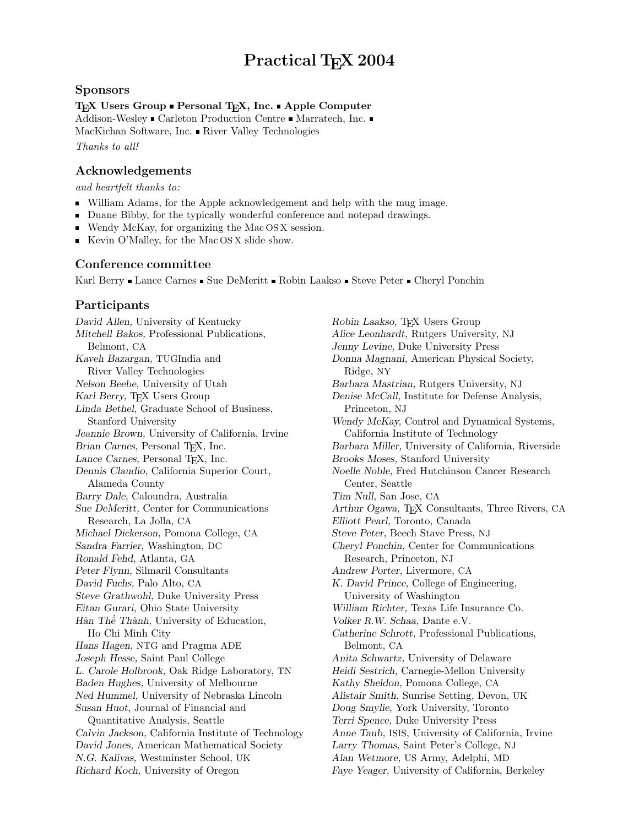# Practical T<sub>E</sub>X 2004

### Sponsors

#### T<sub>E</sub>X Users Group **Personal T<sub>E</sub>X**, Inc. Apple Computer

Addison-Wesley  $\blacksquare$  Carleton Production Centre  $\blacksquare$  Marratech, Inc.  $\blacksquare$ MacKichan Software, Inc. River Valley Technologies

Thanks to all!

## Acknowledgements

and heartfelt thanks to:

- William Adams, for the Apple acknowledgement and help with the mug image.
- Duane Bibby, for the typically wonderful conference and notepad drawings.
- Wendy McKay, for organizing the Mac OS X session.
- Kevin O'Malley, for the Mac OS X slide show.

### Conference committee

Karl Berry Lance Carnes Sue DeMeritt Robin Laakso Steve Peter Cheryl Ponchin

### Participants

David Allen, University of Kentucky Mitchell Bakos, Professional Publications, Belmont, CA Kaveh Bazargan, TUGIndia and River Valley Technologies Nelson Beebe, University of Utah Karl Berry, TEX Users Group Linda Bethel, Graduate School of Business, Stanford University Jeannie Brown, University of California, Irvine Brian Carnes, Personal T<sub>E</sub>X, Inc. Lance Carnes, Personal T<sub>E</sub>X, Inc. Dennis Claudio, California Superior Court, Alameda County Barry Dale, Caloundra, Australia Sue DeMeritt, Center for Communications Research, La Jolla, CA Michael Dickerson, Pomona College, CA Sandra Farrier, Washington, DC Ronald Fehd, Atlanta, GA Peter Flynn, Silmaril Consultants David Fuchs, Palo Alto, CA Steve Grathwohl, Duke University Press Eitan Gurari, Ohio State University Hàn Thế Thành, University of Education, Ho Chi Minh City Hans Hagen, NTG and Pragma ADE Joseph Hesse, Saint Paul College L. Carole Holbrook, Oak Ridge Laboratory, TN Baden Hughes, University of Melbourne Ned Hummel, University of Nebraska Lincoln Susan Huot, Journal of Financial and Quantitative Analysis, Seattle Calvin Jackson, California Institute of Technology David Jones, American Mathematical Society N.G. Kalivas, Westminster School, UK Richard Koch, University of Oregon

Robin Laakso, T<sub>EX</sub> Users Group Alice Leonhardt, Rutgers University, NJ Jenny Levine, Duke University Press Donna Magnani, American Physical Society, Ridge, NY Barbara Mastrian, Rutgers University, NJ Denise McCall, Institute for Defense Analysis, Princeton, NJ Wendy McKay, Control and Dynamical Systems, California Institute of Technology Barbara Miller, University of California, Riverside Brooks Moses, Stanford University Noelle Noble, Fred Hutchinson Cancer Research Center, Seattle Tim Null, San Jose, CA Arthur Ogawa, T<sub>E</sub>X Consultants, Three Rivers, CA Elliott Pearl, Toronto, Canada Steve Peter, Beech Stave Press, NJ Cheryl Ponchin, Center for Communications Research, Princeton, NJ Andrew Porter, Livermore, CA K. David Prince, College of Engineering, University of Washington William Richter, Texas Life Insurance Co. Volker R.W. Schaa, Dante e.V. Catherine Schrott, Professional Publications, Belmont, CA Anita Schwartz, University of Delaware Heidi Sestrich, Carnegie-Mellon University Kathy Sheldon, Pomona College, CA Alistair Smith, Sunrise Setting, Devon, UK Doug Smylie, York University, Toronto Terri Spence, Duke University Press Anne Taub, ISIS, University of California, Irvine Larry Thomas, Saint Peter's College, NJ Alan Wetmore, US Army, Adelphi, MD Faye Yeager, University of California, Berkeley